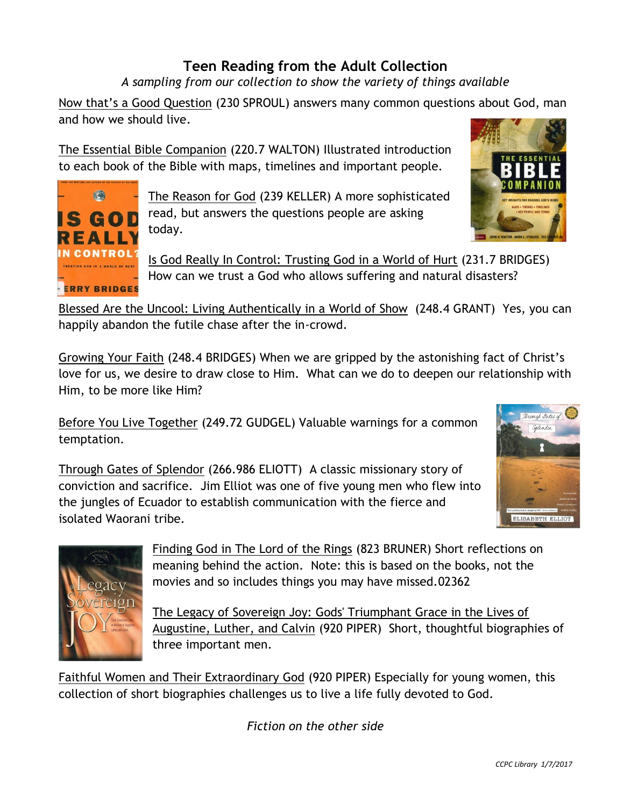## **Teen Reading from the Adult Collection**

*A sampling from our collection to show the variety of things available* 

Now that's a Good Question (230 SPROUL) answers many common questions about God, man and how we should live.

The Essential Bible Companion (220.7 WALTON) Illustrated introduction to each book of the Bible with maps, timelines and important people.



The Reason for God (239 KELLER) A more sophisticated read, but answers the questions people are asking today.



Is God Really In Control: Trusting God in a World of Hurt (231.7 BRIDGES) How can we trust a God who allows suffering and natural disasters?

Blessed Are the Uncool: Living Authentically in a World of Show (248.4 GRANT) Yes, you can happily abandon the futile chase after the in-crowd.

Growing Your Faith (248.4 BRIDGES) When we are gripped by the astonishing fact of Christ's love for us, we desire to draw close to Him. What can we do to deepen our relationship with Him, to be more like Him?

Before You Live Together (249.72 GUDGEL) Valuable warnings for a common temptation.

Through Gates of Splendor (266.986 ELIOTT) A classic missionary story of conviction and sacrifice. Jim Elliot was one of five young men who flew into the jungles of Ecuador to establish communication with the fierce and isolated Waorani tribe.





Finding God in The Lord of the Rings (823 BRUNER) Short reflections on meaning behind the action. Note: this is based on the books, not the movies and so includes things you may have missed.02362

The Legacy of Sovereign Joy: Gods' Triumphant Grace in the Lives of Augustine, Luther, and Calvin (920 PIPER) Short, thoughtful biographies of three important men.

Faithful Women and Their Extraordinary God (920 PIPER) Especially for young women, this collection of short biographies challenges us to live a life fully devoted to God.

*Fiction on the other side*